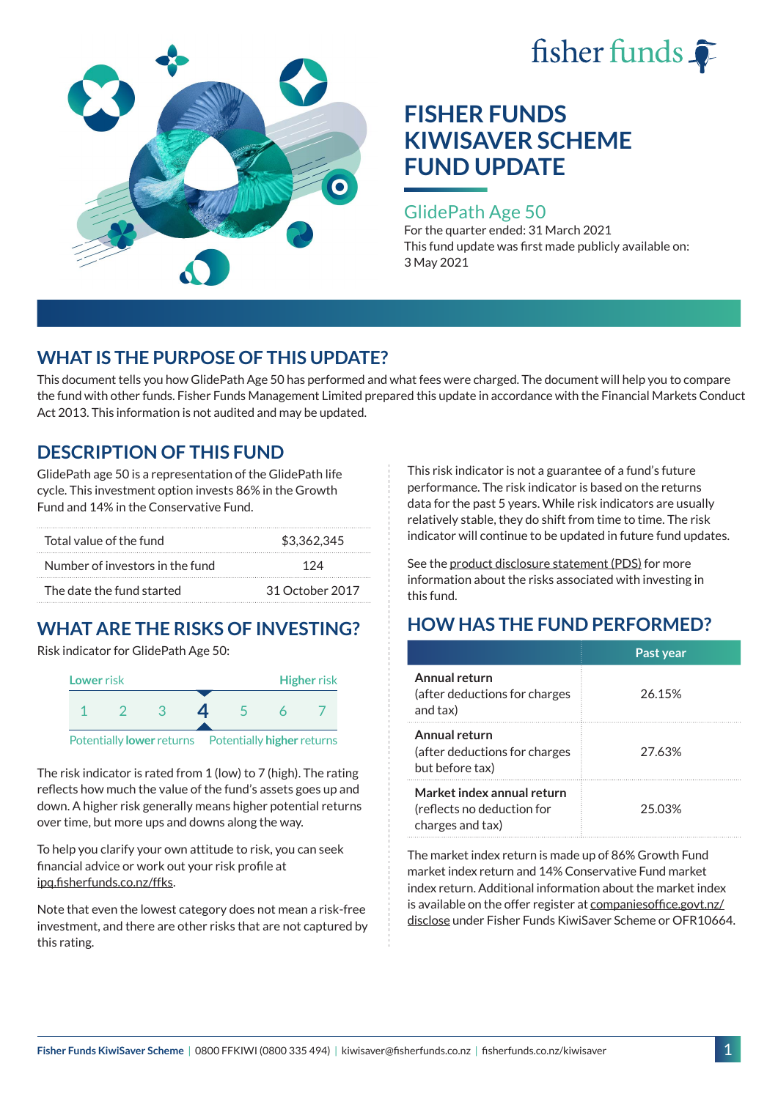



### GlidePath Age 50

For the quarter ended: 31 March 2021 This fund update was first made publicly available on: 3 May 2021

# **WHAT IS THE PURPOSE OF THIS UPDATE?**

This document tells you how GlidePath Age 50 has performed and what fees were charged. The document will help you to compare the fund with other funds. Fisher Funds Management Limited prepared this update in accordance with the Financial Markets Conduct Act 2013. This information is not audited and may be updated.

# **DESCRIPTION OF THIS FUND**

GlidePath age 50 is a representation of the GlidePath life cycle. This investment option invests 86% in the Growth Fund and 14% in the Conservative Fund.

| Total value of the fund         | \$3,362,345     |  |
|---------------------------------|-----------------|--|
| Number of investors in the fund | 174             |  |
| The date the fund started       | 31 October 2017 |  |

# **WHAT ARE THE RISKS OF INVESTING?**

Risk indicator for GlidePath Age 50:



The risk indicator is rated from 1 (low) to 7 (high). The rating reflects how much the value of the fund's assets goes up and down. A higher risk generally means higher potential returns over time, but more ups and downs along the way.

To help you clarify your own attitude to risk, you can seek financial advice or work out your risk profile at [ipq.fisherfunds.co.nz/ffks](https://ipq.fisherfunds.co.nz/ffks).

Note that even the lowest category does not mean a risk-free investment, and there are other risks that are not captured by this rating.

This risk indicator is not a guarantee of a fund's future performance. The risk indicator is based on the returns data for the past 5 years. While risk indicators are usually relatively stable, they do shift from time to time. The risk indicator will continue to be updated in future fund updates.

See the [product disclosure statement \(PDS\)](https://fisherfunds.co.nz/assets/PDS/Fisher-Funds-KiwiSaver-Scheme-PDS.pdf) for more information about the risks associated with investing in this fund.

# **HOW HAS THE FUND PERFORMED?**

|                                                                              | Past year |
|------------------------------------------------------------------------------|-----------|
| Annual return<br>(after deductions for charges<br>and tax)                   | 26.15%    |
| Annual return<br>(after deductions for charges<br>but before tax)            | 27.63%    |
| Market index annual return<br>(reflects no deduction for<br>charges and tax) | 25.03%    |

The market index return is made up of 86% Growth Fund market index return and 14% Conservative Fund market index return. Additional information about the market index is available on the offer register at [companiesoffice.govt.nz/](http://companiesoffice.govt.nz/disclose) [disclose](http://companiesoffice.govt.nz/disclose) under Fisher Funds KiwiSaver Scheme or OFR10664.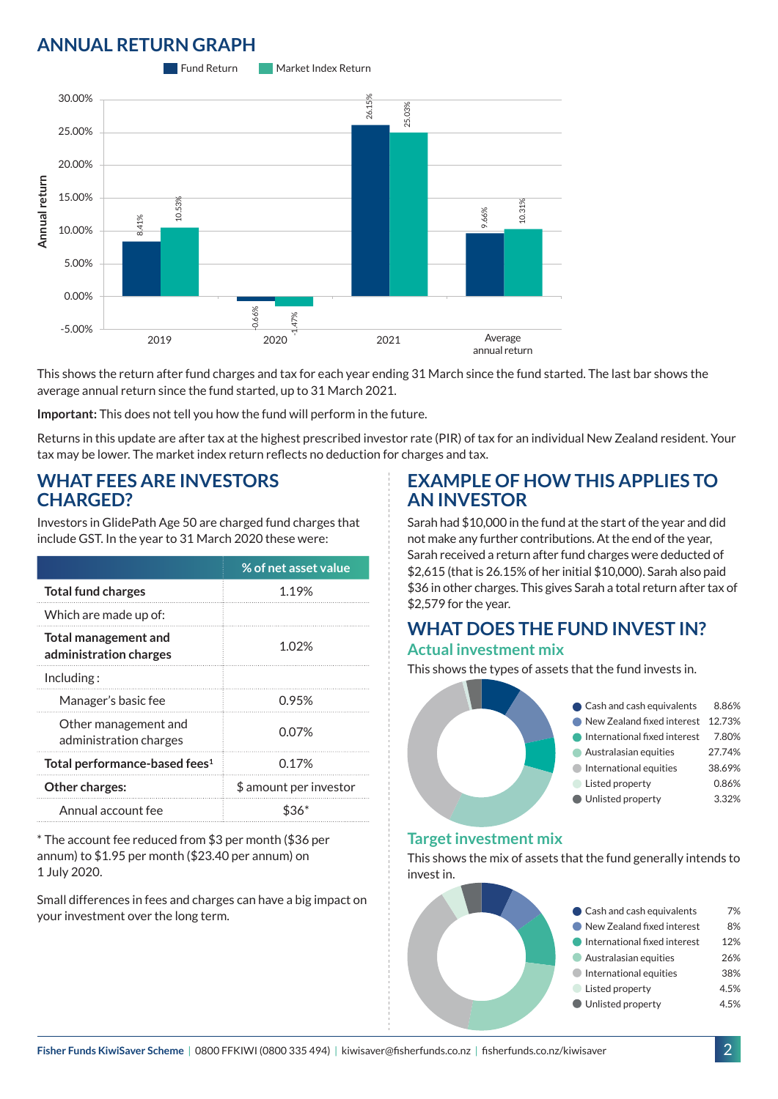# **ANNUAL RETURN GRAPH**



This shows the return after fund charges and tax for each year ending 31 March since the fund started. The last bar shows the average annual return since the fund started, up to 31 March 2021.

**Important:** This does not tell you how the fund will perform in the future.

Returns in this update are after tax at the highest prescribed investor rate (PIR) of tax for an individual New Zealand resident. Your tax may be lower. The market index return reflects no deduction for charges and tax.

### **WHAT FEES ARE INVESTORS CHARGED?**

Investors in GlidePath Age 50 are charged fund charges that include GST. In the year to 31 March 2020 these were:

|                                                       | % of net asset value   |  |
|-------------------------------------------------------|------------------------|--|
| <b>Total fund charges</b>                             | 1.19%                  |  |
| Which are made up of:                                 |                        |  |
| <b>Total management and</b><br>administration charges | 1.02%                  |  |
| Inding:                                               |                        |  |
| Manager's basic fee                                   | 0.95%                  |  |
| Other management and<br>administration charges        | 0.07%                  |  |
| Total performance-based fees <sup>1</sup>             | 0.17%                  |  |
| <b>Other charges:</b>                                 | \$ amount per investor |  |
| Annual account fee                                    |                        |  |

\* The account fee reduced from \$3 per month (\$36 per annum) to \$1.95 per month (\$23.40 per annum) on 1 July 2020.

Small differences in fees and charges can have a big impact on your investment over the long term.

### **EXAMPLE OF HOW THIS APPLIES TO AN INVESTOR**

Sarah had \$10,000 in the fund at the start of the year and did not make any further contributions. At the end of the year, Sarah received a return after fund charges were deducted of \$2,615 (that is 26.15% of her initial \$10,000). Sarah also paid \$36 in other charges. This gives Sarah a total return after tax of \$2,579 for the year.

#### **WHAT DOES THE FUND INVEST IN? Actual investment mix**

This shows the types of assets that the fund invests in.



#### **Target investment mix**

This shows the mix of assets that the fund generally intends to invest in.